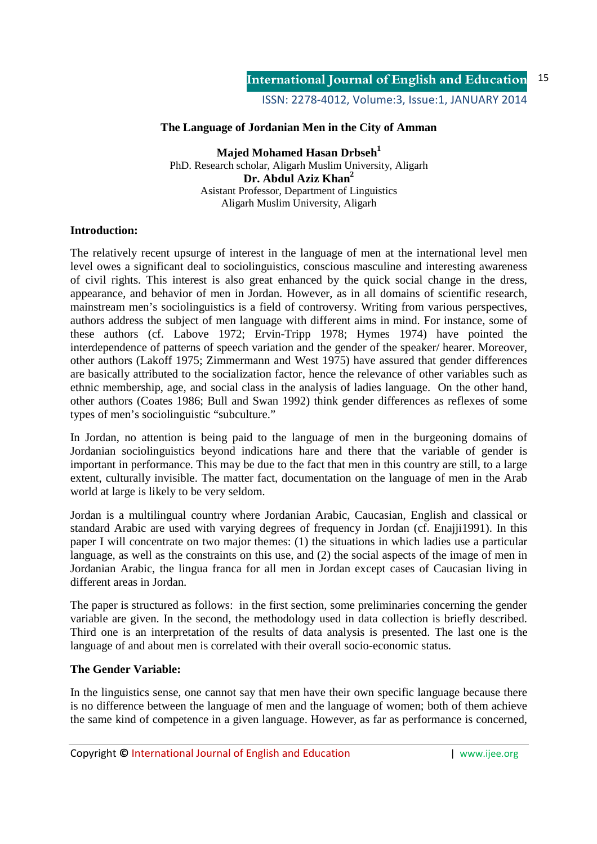ISSN: 2278-4012, Volume:3, Issue:1, JANUARY 2014

# **The Language of Jordanian Men in the City of Amman**

**Majed Mohamed Hasan Drbseh<sup>1</sup>** PhD. Research scholar, Aligarh Muslim University, Aligarh **Dr. Abdul Aziz Khan<sup>2</sup>** Asistant Professor, Department of Linguistics Aligarh Muslim University, Aligarh

## **Introduction:**

The relatively recent upsurge of interest in the language of men at the international level men level owes a significant deal to sociolinguistics, conscious masculine and interesting awareness of civil rights. This interest is also great enhanced by the quick social change in the dress, appearance, and behavior of men in Jordan. However, as in all domains of scientific research, mainstream men's sociolinguistics is a field of controversy. Writing from various perspectives, authors address the subject of men language with different aims in mind. For instance, some of these authors (cf. Labove 1972; Ervin-Tripp 1978; Hymes 1974) have pointed the interdependence of patterns of speech variation and the gender of the speaker/ hearer. Moreover, other authors (Lakoff 1975; Zimmermann and West 1975) have assured that gender differences are basically attributed to the socialization factor, hence the relevance of other variables such as ethnic membership, age, and social class in the analysis of ladies language. On the other hand, other authors (Coates 1986; Bull and Swan 1992) think gender differences as reflexes of some types of men's sociolinguistic "subculture."

In Jordan, no attention is being paid to the language of men in the burgeoning domains of Jordanian sociolinguistics beyond indications hare and there that the variable of gender is important in performance. This may be due to the fact that men in this country are still, to a large extent, culturally invisible. The matter fact, documentation on the language of men in the Arab world at large is likely to be very seldom.

Jordan is a multilingual country where Jordanian Arabic, Caucasian, English and classical or standard Arabic are used with varying degrees of frequency in Jordan (cf. Enajji1991). In this paper I will concentrate on two major themes: (1) the situations in which ladies use a particular language, as well as the constraints on this use, and (2) the social aspects of the image of men in Jordanian Arabic, the lingua franca for all men in Jordan except cases of Caucasian living in different areas in Jordan.

The paper is structured as follows: in the first section, some preliminaries concerning the gender variable are given. In the second, the methodology used in data collection is briefly described. Third one is an interpretation of the results of data analysis is presented. The last one is the language of and about men is correlated with their overall socio-economic status.

## **The Gender Variable:**

In the linguistics sense, one cannot say that men have their own specific language because there is no difference between the language of men and the language of women; both of them achieve the same kind of competence in a given language. However, as far as performance is concerned,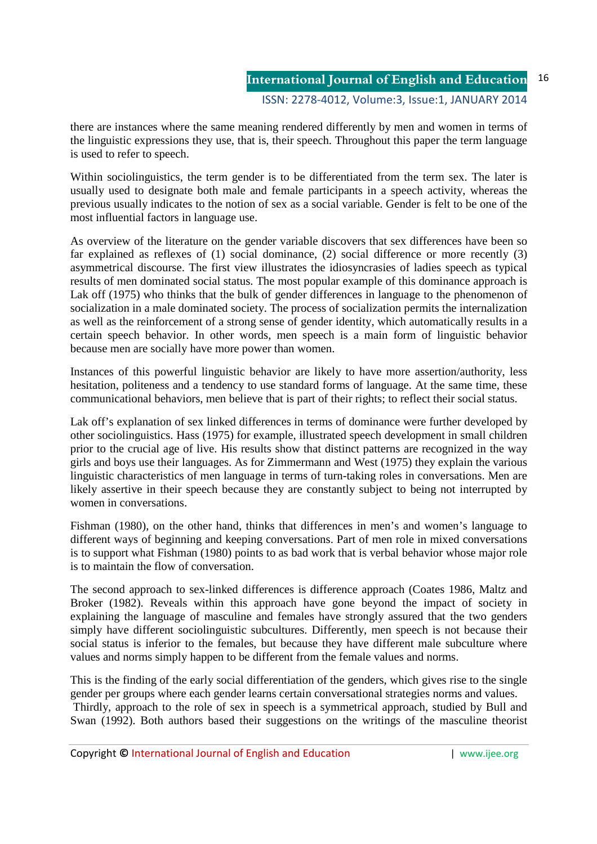#### **International Journal of English and Education** ISSN: 2278-4012, Volume:3, Issue:1, JANUARY 2014 16

there are instances where the same meaning rendered differently by men and women in terms of the linguistic expressions they use, that is, their speech. Throughout this paper the term language is used to refer to speech.

Within sociolinguistics, the term gender is to be differentiated from the term sex. The later is usually used to designate both male and female participants in a speech activity, whereas the previous usually indicates to the notion of sex as a social variable. Gender is felt to be one of the most influential factors in language use.

As overview of the literature on the gender variable discovers that sex differences have been so far explained as reflexes of (1) social dominance, (2) social difference or more recently (3) asymmetrical discourse. The first view illustrates the idiosyncrasies of ladies speech as typical results of men dominated social status. The most popular example of this dominance approach is Lak off (1975) who thinks that the bulk of gender differences in language to the phenomenon of socialization in a male dominated society. The process of socialization permits the internalization as well as the reinforcement of a strong sense of gender identity, which automatically results in a certain speech behavior. In other words, men speech is a main form of linguistic behavior because men are socially have more power than women.

Instances of this powerful linguistic behavior are likely to have more assertion/authority, less hesitation, politeness and a tendency to use standard forms of language. At the same time, these communicational behaviors, men believe that is part of their rights; to reflect their social status.

Lak off's explanation of sex linked differences in terms of dominance were further developed by other sociolinguistics. Hass (1975) for example, illustrated speech development in small children prior to the crucial age of live. His results show that distinct patterns are recognized in the way girls and boys use their languages. As for Zimmermann and West (1975) they explain the various linguistic characteristics of men language in terms of turn-taking roles in conversations. Men are likely assertive in their speech because they are constantly subject to being not interrupted by women in conversations.

Fishman (1980), on the other hand, thinks that differences in men's and women's language to different ways of beginning and keeping conversations. Part of men role in mixed conversations is to support what Fishman (1980) points to as bad work that is verbal behavior whose major role is to maintain the flow of conversation.

The second approach to sex-linked differences is difference approach (Coates 1986, Maltz and Broker (1982). Reveals within this approach have gone beyond the impact of society in explaining the language of masculine and females have strongly assured that the two genders simply have different sociolinguistic subcultures. Differently, men speech is not because their social status is inferior to the females, but because they have different male subculture where values and norms simply happen to be different from the female values and norms.

This is the finding of the early social differentiation of the genders, which gives rise to the single gender per groups where each gender learns certain conversational strategies norms and values.

 Thirdly, approach to the role of sex in speech is a symmetrical approach, studied by Bull and Swan (1992). Both authors based their suggestions on the writings of the masculine theorist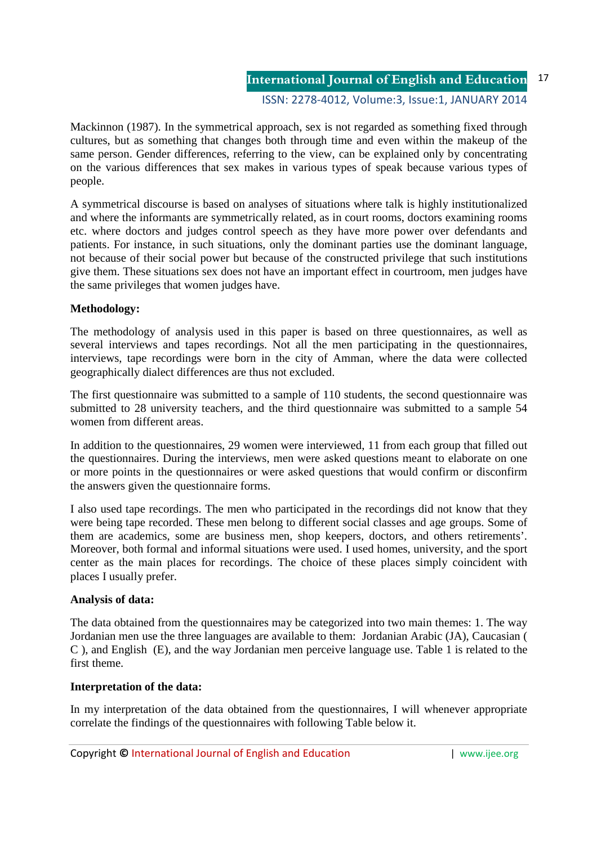ISSN: 2278-4012, Volume:3, Issue:1, JANUARY 2014

Mackinnon (1987). In the symmetrical approach, sex is not regarded as something fixed through cultures, but as something that changes both through time and even within the makeup of the same person. Gender differences, referring to the view, can be explained only by concentrating on the various differences that sex makes in various types of speak because various types of people.

A symmetrical discourse is based on analyses of situations where talk is highly institutionalized and where the informants are symmetrically related, as in court rooms, doctors examining rooms etc. where doctors and judges control speech as they have more power over defendants and patients. For instance, in such situations, only the dominant parties use the dominant language, not because of their social power but because of the constructed privilege that such institutions give them. These situations sex does not have an important effect in courtroom, men judges have the same privileges that women judges have.

# **Methodology:**

The methodology of analysis used in this paper is based on three questionnaires, as well as several interviews and tapes recordings. Not all the men participating in the questionnaires, interviews, tape recordings were born in the city of Amman, where the data were collected geographically dialect differences are thus not excluded.

The first questionnaire was submitted to a sample of 110 students, the second questionnaire was submitted to 28 university teachers, and the third questionnaire was submitted to a sample 54 women from different areas.

In addition to the questionnaires, 29 women were interviewed, 11 from each group that filled out the questionnaires. During the interviews, men were asked questions meant to elaborate on one or more points in the questionnaires or were asked questions that would confirm or disconfirm the answers given the questionnaire forms.

I also used tape recordings. The men who participated in the recordings did not know that they were being tape recorded. These men belong to different social classes and age groups. Some of them are academics, some are business men, shop keepers, doctors, and others retirements'. Moreover, both formal and informal situations were used. I used homes, university, and the sport center as the main places for recordings. The choice of these places simply coincident with places I usually prefer.

## **Analysis of data:**

The data obtained from the questionnaires may be categorized into two main themes: 1. The way Jordanian men use the three languages are available to them: Jordanian Arabic (JA), Caucasian ( C ), and English (E), and the way Jordanian men perceive language use. Table 1 is related to the first theme.

## **Interpretation of the data:**

In my interpretation of the data obtained from the questionnaires, I will whenever appropriate correlate the findings of the questionnaires with following Table below it.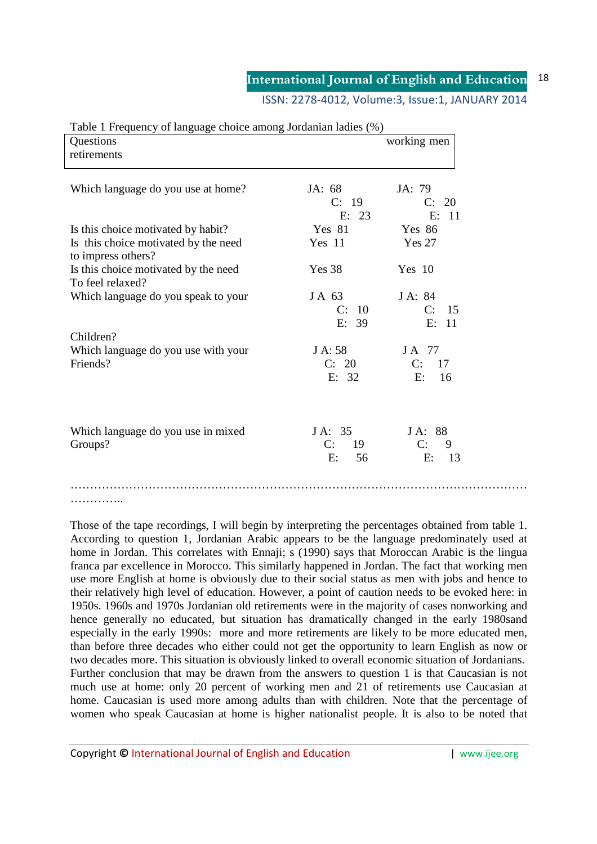ISSN: 2278-4012, Volume:3, Issue:1, JANUARY 2014

| Questions<br>retirements                                   |                | working men       |
|------------------------------------------------------------|----------------|-------------------|
| Which language do you use at home?                         | JA: 68         | JA: 79            |
|                                                            | C: 19<br>E: 23 | C: 20<br>E: 11    |
| Is this choice motivated by habit?                         | Yes 81         | Yes 86            |
| Is this choice motivated by the need<br>to impress others? | Yes 11         | <b>Yes 27</b>     |
| Is this choice motivated by the need<br>To feel relaxed?   | Yes 38         | Yes 10            |
| Which language do you speak to your                        | JA 63          | J A: 84           |
|                                                            | C: 10          | C:<br>-15         |
|                                                            | E: 39          | E: 11             |
| Children?                                                  |                |                   |
| Which language do you use with your                        | J A: 58        | JA 77             |
| Friends?                                                   | C: 20<br>E: 32 | C: 17<br>E:<br>16 |
| Which language do you use in mixed                         | J A: 35        | JA: 88            |
| Groups?                                                    | C:<br>19       | C:<br>9           |
|                                                            | E:<br>56       | E:<br>13          |
|                                                            |                |                   |

#### $Table 1$  Frequency of language choice among Jordanian ladies  $(0.5)$

. . . . . . . . . . . . .

Those of the tape recordings, I will begin by interpreting the percentages obtained from table 1. According to question 1, Jordanian Arabic appears to be the language predominately used at home in Jordan. This correlates with Ennaji; s (1990) says that Moroccan Arabic is the lingua franca par excellence in Morocco. This similarly happened in Jordan. The fact that working men use more English at home is obviously due to their social status as men with jobs and hence to their relatively high level of education. However, a point of caution needs to be evoked here: in 1950s. 1960s and 1970s Jordanian old retirements were in the majority of cases nonworking and hence generally no educated, but situation has dramatically changed in the early 1980sand especially in the early 1990s: more and more retirements are likely to be more educated men, than before three decades who either could not get the opportunity to learn English as now or two decades more. This situation is obviously linked to overall economic situation of Jordanians. Further conclusion that may be drawn from the answers to question 1 is that Caucasian is not much use at home: only 20 percent of working men and 21 of retirements use Caucasian at home. Caucasian is used more among adults than with children. Note that the percentage of women who speak Caucasian at home is higher nationalist people. It is also to be noted that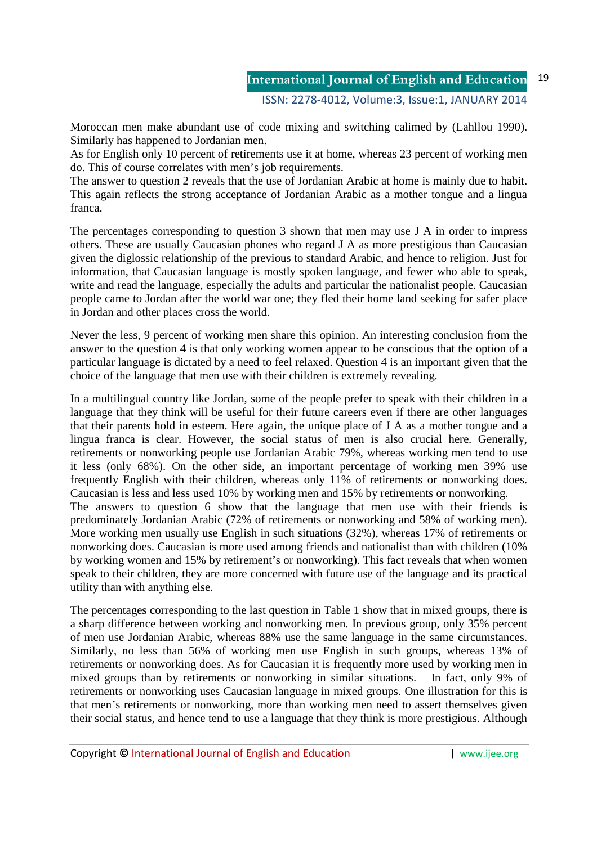Moroccan men make abundant use of code mixing and switching calimed by (Lahllou 1990). Similarly has happened to Jordanian men.

As for English only 10 percent of retirements use it at home, whereas 23 percent of working men do. This of course correlates with men's job requirements.

The answer to question 2 reveals that the use of Jordanian Arabic at home is mainly due to habit. This again reflects the strong acceptance of Jordanian Arabic as a mother tongue and a lingua franca.

The percentages corresponding to question 3 shown that men may use J A in order to impress others. These are usually Caucasian phones who regard J A as more prestigious than Caucasian given the diglossic relationship of the previous to standard Arabic, and hence to religion. Just for information, that Caucasian language is mostly spoken language, and fewer who able to speak, write and read the language, especially the adults and particular the nationalist people. Caucasian people came to Jordan after the world war one; they fled their home land seeking for safer place in Jordan and other places cross the world.

Never the less, 9 percent of working men share this opinion. An interesting conclusion from the answer to the question 4 is that only working women appear to be conscious that the option of a particular language is dictated by a need to feel relaxed. Question 4 is an important given that the choice of the language that men use with their children is extremely revealing.

In a multilingual country like Jordan, some of the people prefer to speak with their children in a language that they think will be useful for their future careers even if there are other languages that their parents hold in esteem. Here again, the unique place of J A as a mother tongue and a lingua franca is clear. However, the social status of men is also crucial here. Generally, retirements or nonworking people use Jordanian Arabic 79%, whereas working men tend to use it less (only 68%). On the other side, an important percentage of working men 39% use frequently English with their children, whereas only 11% of retirements or nonworking does. Caucasian is less and less used 10% by working men and 15% by retirements or nonworking. The answers to question 6 show that the language that men use with their friends is predominately Jordanian Arabic (72% of retirements or nonworking and 58% of working men). More working men usually use English in such situations (32%), whereas 17% of retirements or nonworking does. Caucasian is more used among friends and nationalist than with children (10% by working women and 15% by retirement's or nonworking). This fact reveals that when women speak to their children, they are more concerned with future use of the language and its practical utility than with anything else.

The percentages corresponding to the last question in Table 1 show that in mixed groups, there is a sharp difference between working and nonworking men. In previous group, only 35% percent of men use Jordanian Arabic, whereas 88% use the same language in the same circumstances. Similarly, no less than 56% of working men use English in such groups, whereas 13% of retirements or nonworking does. As for Caucasian it is frequently more used by working men in mixed groups than by retirements or nonworking in similar situations. In fact, only 9% of retirements or nonworking uses Caucasian language in mixed groups. One illustration for this is that men's retirements or nonworking, more than working men need to assert themselves given their social status, and hence tend to use a language that they think is more prestigious. Although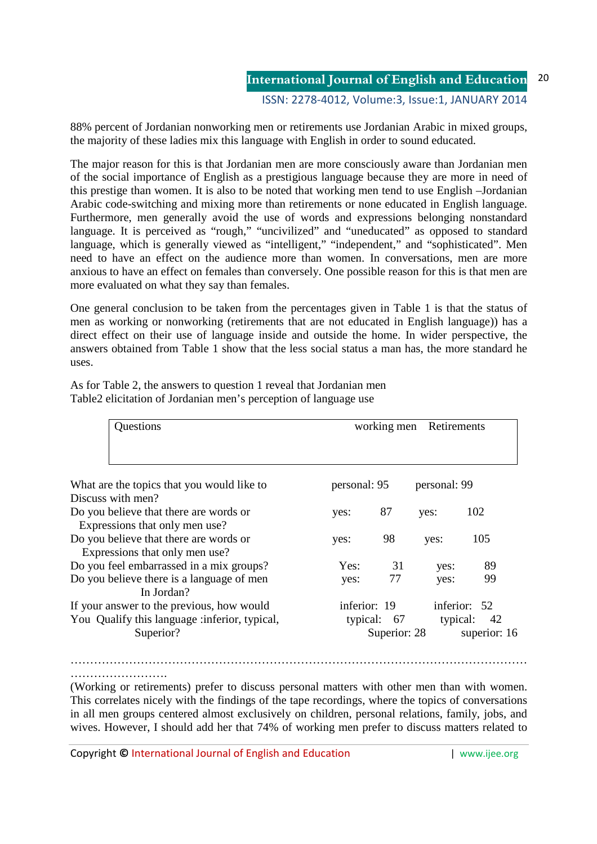ISSN: 2278-4012, Volume:3, Issue:1, JANUARY 2014

88% percent of Jordanian nonworking men or retirements use Jordanian Arabic in mixed groups, the majority of these ladies mix this language with English in order to sound educated.

The major reason for this is that Jordanian men are more consciously aware than Jordanian men of the social importance of English as a prestigious language because they are more in need of this prestige than women. It is also to be noted that working men tend to use English –Jordanian Arabic code-switching and mixing more than retirements or none educated in English language. Furthermore, men generally avoid the use of words and expressions belonging nonstandard language. It is perceived as "rough," "uncivilized" and "uneducated" as opposed to standard language, which is generally viewed as "intelligent," "independent," and "sophisticated". Men need to have an effect on the audience more than women. In conversations, men are more anxious to have an effect on females than conversely. One possible reason for this is that men are more evaluated on what they say than females.

One general conclusion to be taken from the percentages given in Table 1 is that the status of men as working or nonworking (retirements that are not educated in English language)) has a direct effect on their use of language inside and outside the home. In wider perspective, the answers obtained from Table 1 show that the less social status a man has, the more standard he uses.

As for Table 2, the answers to question 1 reveal that Jordanian men Table2 elicitation of Jordanian men's perception of language use

| Questions                                     | working men<br>Retirements   |              |          |              |
|-----------------------------------------------|------------------------------|--------------|----------|--------------|
| What are the topics that you would like to    | personal: 95<br>personal: 99 |              |          |              |
| Discuss with men?                             |                              |              |          |              |
| Do you believe that there are words or        | yes:                         | 87           | yes:     | 102          |
| Expressions that only men use?                |                              |              |          |              |
| Do you believe that there are words or        | yes:                         | 98           | yes:     | 105          |
| Expressions that only men use?                |                              |              |          |              |
| Do you feel embarrassed in a mix groups?      | Yes:                         | 31           | yes:     | 89           |
| Do you believe there is a language of men     | yes:                         | 77           | yes:     | 99           |
| In Jordan?                                    |                              |              |          |              |
| If your answer to the previous, how would     | inferior: 19                 |              |          | inferior: 52 |
| You Qualify this language :inferior, typical, |                              | typical: 67  | typical: | -42          |
| Superior?                                     |                              | Superior: 28 |          | superior: 16 |

………………………… (Working or retirements) prefer to discuss personal matters with other men than with women. This correlates nicely with the findings of the tape recordings, where the topics of conversations in all men groups centered almost exclusively on children, personal relations, family, jobs, and

wives. However, I should add her that 74% of working men prefer to discuss matters related to

………………………………………………………………………………………………………

Copyright **©** International Journal of English and Education | www.ijee.org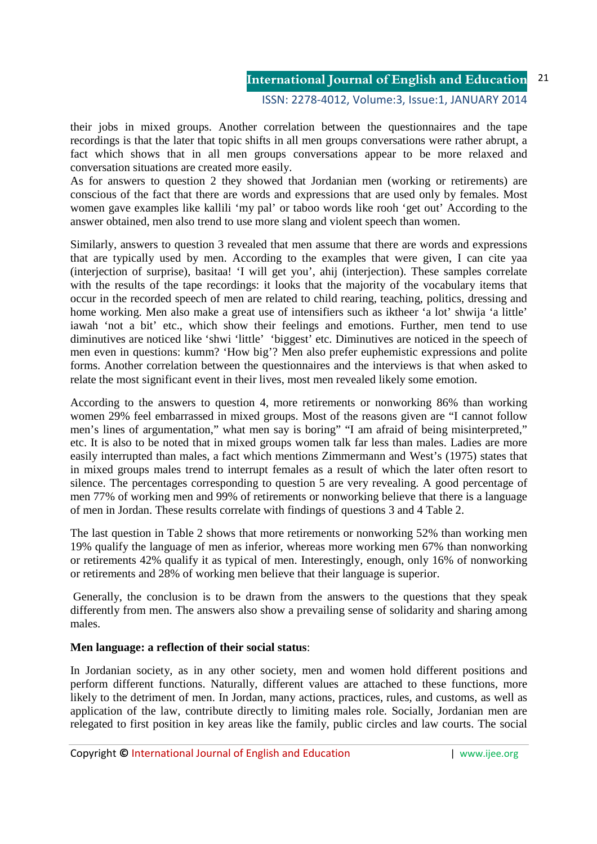## ISSN: 2278-4012, Volume:3, Issue:1, JANUARY 2014

their jobs in mixed groups. Another correlation between the questionnaires and the tape recordings is that the later that topic shifts in all men groups conversations were rather abrupt, a fact which shows that in all men groups conversations appear to be more relaxed and conversation situations are created more easily.

As for answers to question 2 they showed that Jordanian men (working or retirements) are conscious of the fact that there are words and expressions that are used only by females. Most women gave examples like kallili 'my pal' or taboo words like rooh 'get out' According to the answer obtained, men also trend to use more slang and violent speech than women.

Similarly, answers to question 3 revealed that men assume that there are words and expressions that are typically used by men. According to the examples that were given, I can cite yaa (interjection of surprise), basitaa! 'I will get you', ahij (interjection). These samples correlate with the results of the tape recordings: it looks that the majority of the vocabulary items that occur in the recorded speech of men are related to child rearing, teaching, politics, dressing and home working. Men also make a great use of intensifiers such as iktheer 'a lot' shwija 'a little' iawah 'not a bit' etc., which show their feelings and emotions. Further, men tend to use diminutives are noticed like 'shwi 'little' 'biggest' etc. Diminutives are noticed in the speech of men even in questions: kumm? 'How big'? Men also prefer euphemistic expressions and polite forms. Another correlation between the questionnaires and the interviews is that when asked to relate the most significant event in their lives, most men revealed likely some emotion.

According to the answers to question 4, more retirements or nonworking 86% than working women 29% feel embarrassed in mixed groups. Most of the reasons given are "I cannot follow men's lines of argumentation," what men say is boring" "I am afraid of being misinterpreted," etc. It is also to be noted that in mixed groups women talk far less than males. Ladies are more easily interrupted than males, a fact which mentions Zimmermann and West's (1975) states that in mixed groups males trend to interrupt females as a result of which the later often resort to silence. The percentages corresponding to question 5 are very revealing. A good percentage of men 77% of working men and 99% of retirements or nonworking believe that there is a language of men in Jordan. These results correlate with findings of questions 3 and 4 Table 2.

The last question in Table 2 shows that more retirements or nonworking 52% than working men 19% qualify the language of men as inferior, whereas more working men 67% than nonworking or retirements 42% qualify it as typical of men. Interestingly, enough, only 16% of nonworking or retirements and 28% of working men believe that their language is superior.

 Generally, the conclusion is to be drawn from the answers to the questions that they speak differently from men. The answers also show a prevailing sense of solidarity and sharing among males.

## **Men language: a reflection of their social status**:

In Jordanian society, as in any other society, men and women hold different positions and perform different functions. Naturally, different values are attached to these functions, more likely to the detriment of men. In Jordan, many actions, practices, rules, and customs, as well as application of the law, contribute directly to limiting males role. Socially, Jordanian men are relegated to first position in key areas like the family, public circles and law courts. The social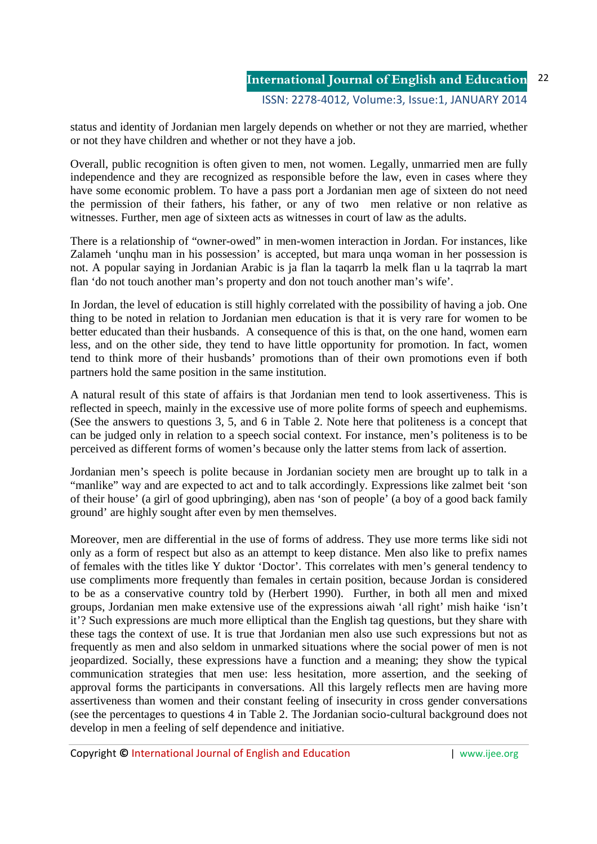status and identity of Jordanian men largely depends on whether or not they are married, whether or not they have children and whether or not they have a job.

Overall, public recognition is often given to men, not women. Legally, unmarried men are fully independence and they are recognized as responsible before the law, even in cases where they have some economic problem. To have a pass port a Jordanian men age of sixteen do not need the permission of their fathers, his father, or any of two men relative or non relative as witnesses. Further, men age of sixteen acts as witnesses in court of law as the adults.

There is a relationship of "owner-owed" in men-women interaction in Jordan. For instances, like Zalameh 'unqhu man in his possession' is accepted, but mara unqa woman in her possession is not. A popular saying in Jordanian Arabic is ja flan la taqarrb la melk flan u la taqrrab la mart flan 'do not touch another man's property and don not touch another man's wife'.

In Jordan, the level of education is still highly correlated with the possibility of having a job. One thing to be noted in relation to Jordanian men education is that it is very rare for women to be better educated than their husbands. A consequence of this is that, on the one hand, women earn less, and on the other side, they tend to have little opportunity for promotion. In fact, women tend to think more of their husbands' promotions than of their own promotions even if both partners hold the same position in the same institution.

A natural result of this state of affairs is that Jordanian men tend to look assertiveness. This is reflected in speech, mainly in the excessive use of more polite forms of speech and euphemisms. (See the answers to questions 3, 5, and 6 in Table 2. Note here that politeness is a concept that can be judged only in relation to a speech social context. For instance, men's politeness is to be perceived as different forms of women's because only the latter stems from lack of assertion.

Jordanian men's speech is polite because in Jordanian society men are brought up to talk in a "manlike" way and are expected to act and to talk accordingly. Expressions like zalmet beit 'son of their house' (a girl of good upbringing), aben nas 'son of people' (a boy of a good back family ground' are highly sought after even by men themselves.

Moreover, men are differential in the use of forms of address. They use more terms like sidi not only as a form of respect but also as an attempt to keep distance. Men also like to prefix names of females with the titles like Y duktor 'Doctor'. This correlates with men's general tendency to use compliments more frequently than females in certain position, because Jordan is considered to be as a conservative country told by (Herbert 1990). Further, in both all men and mixed groups, Jordanian men make extensive use of the expressions aiwah 'all right' mish haike 'isn't it'? Such expressions are much more elliptical than the English tag questions, but they share with these tags the context of use. It is true that Jordanian men also use such expressions but not as frequently as men and also seldom in unmarked situations where the social power of men is not jeopardized. Socially, these expressions have a function and a meaning; they show the typical communication strategies that men use: less hesitation, more assertion, and the seeking of approval forms the participants in conversations. All this largely reflects men are having more assertiveness than women and their constant feeling of insecurity in cross gender conversations (see the percentages to questions 4 in Table 2. The Jordanian socio-cultural background does not develop in men a feeling of self dependence and initiative.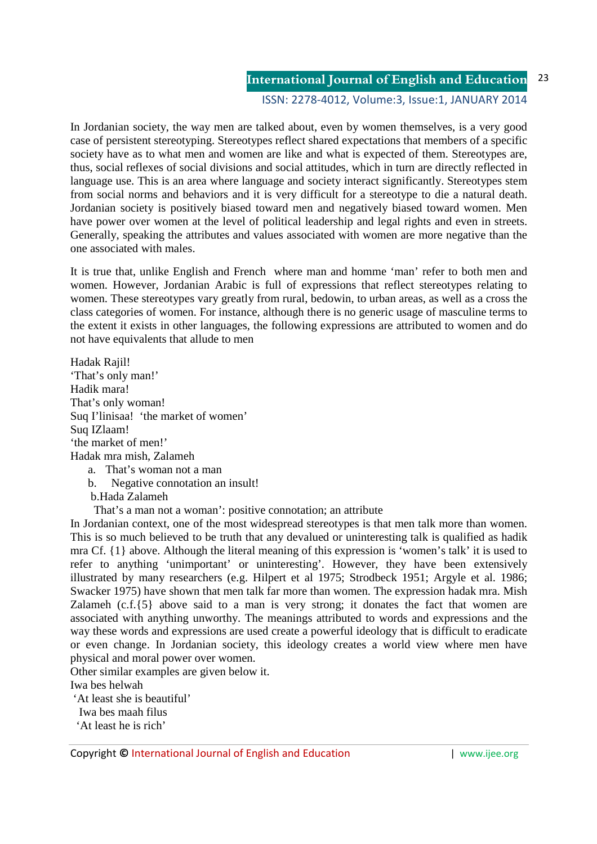#### ISSN: 2278-4012, Volume:3, Issue:1, JANUARY 2014

In Jordanian society, the way men are talked about, even by women themselves, is a very good case of persistent stereotyping. Stereotypes reflect shared expectations that members of a specific society have as to what men and women are like and what is expected of them. Stereotypes are, thus, social reflexes of social divisions and social attitudes, which in turn are directly reflected in language use. This is an area where language and society interact significantly. Stereotypes stem from social norms and behaviors and it is very difficult for a stereotype to die a natural death. Jordanian society is positively biased toward men and negatively biased toward women. Men have power over women at the level of political leadership and legal rights and even in streets. Generally, speaking the attributes and values associated with women are more negative than the one associated with males.

It is true that, unlike English and French where man and homme 'man' refer to both men and women. However, Jordanian Arabic is full of expressions that reflect stereotypes relating to women. These stereotypes vary greatly from rural, bedowin, to urban areas, as well as a cross the class categories of women. For instance, although there is no generic usage of masculine terms to the extent it exists in other languages, the following expressions are attributed to women and do not have equivalents that allude to men

Hadak Rajil! 'That's only man!' Hadik mara! That's only woman! Suq I'linisaa! 'the market of women' Suq IZlaam! 'the market of men!' Hadak mra mish, Zalameh

- a. That's woman not a man
- b. Negative connotation an insult!
- b.Hada Zalameh
- That's a man not a woman': positive connotation; an attribute

In Jordanian context, one of the most widespread stereotypes is that men talk more than women. This is so much believed to be truth that any devalued or uninteresting talk is qualified as hadik mra Cf. {1} above. Although the literal meaning of this expression is 'women's talk' it is used to refer to anything 'unimportant' or uninteresting'. However, they have been extensively illustrated by many researchers (e.g. Hilpert et al 1975; Strodbeck 1951; Argyle et al. 1986; Swacker 1975) have shown that men talk far more than women. The expression hadak mra. Mish Zalameh (c.f.{5} above said to a man is very strong; it donates the fact that women are associated with anything unworthy. The meanings attributed to words and expressions and the way these words and expressions are used create a powerful ideology that is difficult to eradicate or even change. In Jordanian society, this ideology creates a world view where men have physical and moral power over women.

Other similar examples are given below it.

Iwa bes helwah

'At least she is beautiful'

Iwa bes maah filus

'At least he is rich'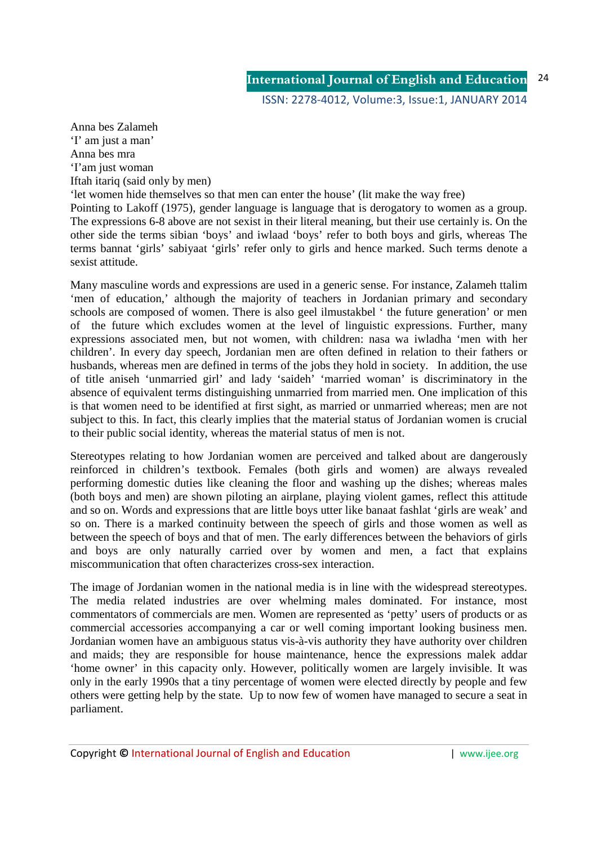Anna bes Zalameh 'I' am just a man' Anna bes mra 'I'am just woman Iftah itariq (said only by men)

'let women hide themselves so that men can enter the house' (lit make the way free) Pointing to Lakoff (1975), gender language is language that is derogatory to women as a group. The expressions 6-8 above are not sexist in their literal meaning, but their use certainly is. On the other side the terms sibian 'boys' and iwlaad 'boys' refer to both boys and girls, whereas The terms bannat 'girls' sabiyaat 'girls' refer only to girls and hence marked. Such terms denote a sexist attitude.

Many masculine words and expressions are used in a generic sense. For instance, Zalameh ttalim 'men of education,' although the majority of teachers in Jordanian primary and secondary schools are composed of women. There is also geel ilmustakbel ' the future generation' or men of the future which excludes women at the level of linguistic expressions. Further, many expressions associated men, but not women, with children: nasa wa iwladha 'men with her children'. In every day speech, Jordanian men are often defined in relation to their fathers or husbands, whereas men are defined in terms of the jobs they hold in society. In addition, the use of title aniseh 'unmarried girl' and lady 'saideh' 'married woman' is discriminatory in the absence of equivalent terms distinguishing unmarried from married men. One implication of this is that women need to be identified at first sight, as married or unmarried whereas; men are not subject to this. In fact, this clearly implies that the material status of Jordanian women is crucial to their public social identity, whereas the material status of men is not.

Stereotypes relating to how Jordanian women are perceived and talked about are dangerously reinforced in children's textbook. Females (both girls and women) are always revealed performing domestic duties like cleaning the floor and washing up the dishes; whereas males (both boys and men) are shown piloting an airplane, playing violent games, reflect this attitude and so on. Words and expressions that are little boys utter like banaat fashlat 'girls are weak' and so on. There is a marked continuity between the speech of girls and those women as well as between the speech of boys and that of men. The early differences between the behaviors of girls and boys are only naturally carried over by women and men, a fact that explains miscommunication that often characterizes cross-sex interaction.

The image of Jordanian women in the national media is in line with the widespread stereotypes. The media related industries are over whelming males dominated. For instance, most commentators of commercials are men. Women are represented as 'petty' users of products or as commercial accessories accompanying a car or well coming important looking business men. Jordanian women have an ambiguous status vis-à-vis authority they have authority over children and maids; they are responsible for house maintenance, hence the expressions malek addar 'home owner' in this capacity only. However, politically women are largely invisible. It was only in the early 1990s that a tiny percentage of women were elected directly by people and few others were getting help by the state. Up to now few of women have managed to secure a seat in parliament.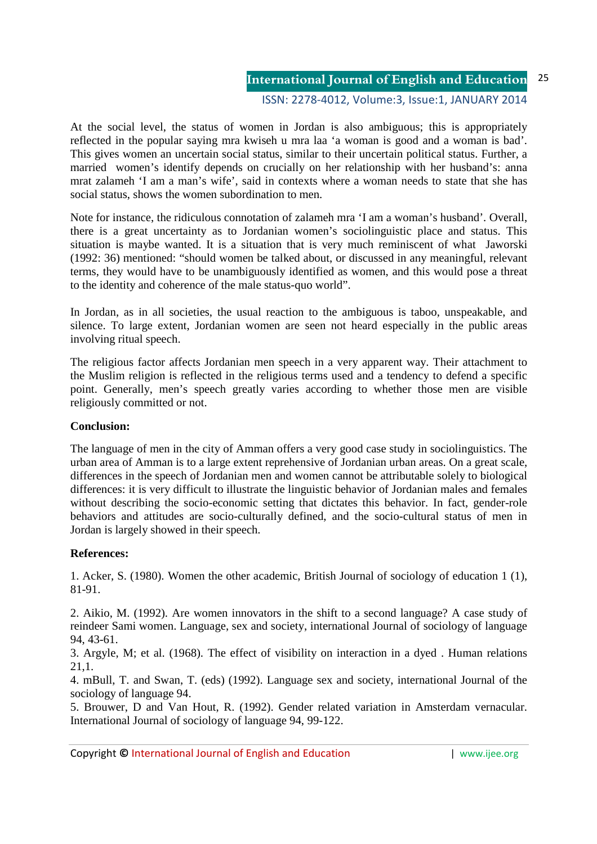#### ISSN: 2278-4012, Volume:3, Issue:1, JANUARY 2014

At the social level, the status of women in Jordan is also ambiguous; this is appropriately reflected in the popular saying mra kwiseh u mra laa 'a woman is good and a woman is bad'. This gives women an uncertain social status, similar to their uncertain political status. Further, a married women's identify depends on crucially on her relationship with her husband's: anna mrat zalameh 'I am a man's wife', said in contexts where a woman needs to state that she has social status, shows the women subordination to men.

Note for instance, the ridiculous connotation of zalameh mra 'I am a woman's husband'. Overall, there is a great uncertainty as to Jordanian women's sociolinguistic place and status. This situation is maybe wanted. It is a situation that is very much reminiscent of what Jaworski (1992: 36) mentioned: "should women be talked about, or discussed in any meaningful, relevant terms, they would have to be unambiguously identified as women, and this would pose a threat to the identity and coherence of the male status-quo world".

In Jordan, as in all societies, the usual reaction to the ambiguous is taboo, unspeakable, and silence. To large extent, Jordanian women are seen not heard especially in the public areas involving ritual speech.

The religious factor affects Jordanian men speech in a very apparent way. Their attachment to the Muslim religion is reflected in the religious terms used and a tendency to defend a specific point. Generally, men's speech greatly varies according to whether those men are visible religiously committed or not.

## **Conclusion:**

The language of men in the city of Amman offers a very good case study in sociolinguistics. The urban area of Amman is to a large extent reprehensive of Jordanian urban areas. On a great scale, differences in the speech of Jordanian men and women cannot be attributable solely to biological differences: it is very difficult to illustrate the linguistic behavior of Jordanian males and females without describing the socio-economic setting that dictates this behavior. In fact, gender-role behaviors and attitudes are socio-culturally defined, and the socio-cultural status of men in Jordan is largely showed in their speech.

# **References:**

1. Acker, S. (1980). Women the other academic, British Journal of sociology of education 1 (1), 81-91.

2. Aikio, M. (1992). Are women innovators in the shift to a second language? A case study of reindeer Sami women. Language, sex and society, international Journal of sociology of language 94, 43-61.

3. Argyle, M; et al. (1968). The effect of visibility on interaction in a dyed . Human relations 21,1.

4. mBull, T. and Swan, T. (eds) (1992). Language sex and society, international Journal of the sociology of language 94.

5. Brouwer, D and Van Hout, R. (1992). Gender related variation in Amsterdam vernacular. International Journal of sociology of language 94, 99-122.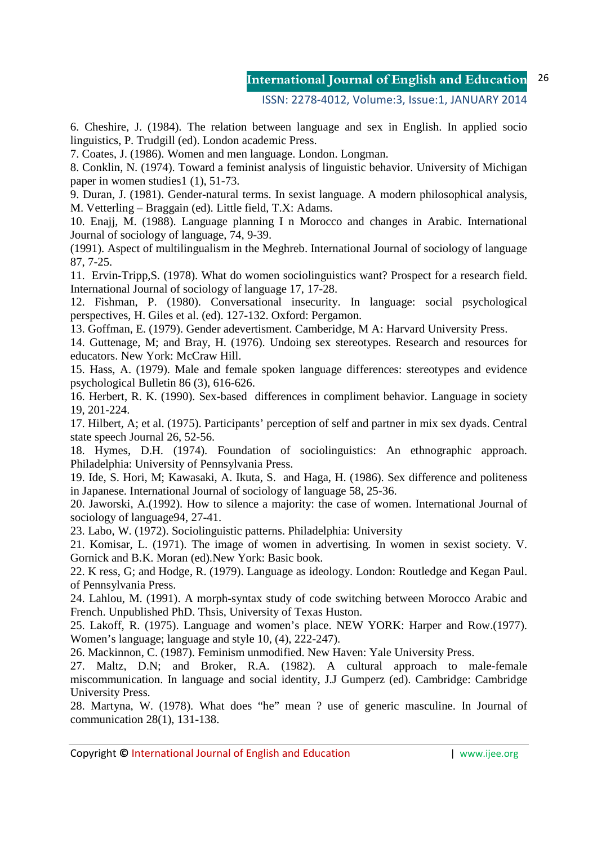## ISSN: 2278-4012, Volume:3, Issue:1, JANUARY 2014

6. Cheshire, J. (1984). The relation between language and sex in English. In applied socio linguistics, P. Trudgill (ed). London academic Press.

7. Coates, J. (1986). Women and men language. London. Longman.

8. Conklin, N. (1974). Toward a feminist analysis of linguistic behavior. University of Michigan paper in women studies1 (1), 51-73.

9. Duran, J. (1981). Gender-natural terms. In sexist language. A modern philosophical analysis, M. Vetterling – Braggain (ed). Little field, T.X: Adams.

10. Enajj, M. (1988). Language planning I n Morocco and changes in Arabic. International Journal of sociology of language, 74, 9-39.

(1991). Aspect of multilingualism in the Meghreb. International Journal of sociology of language 87, 7-25.

11. Ervin-Tripp,S. (1978). What do women sociolinguistics want? Prospect for a research field. International Journal of sociology of language 17, 17-28.

12. Fishman, P. (1980). Conversational insecurity. In language: social psychological perspectives, H. Giles et al. (ed). 127-132. Oxford: Pergamon.

13. Goffman, E. (1979). Gender adevertisment. Camberidge, M A: Harvard University Press.

14. Guttenage, M; and Bray, H. (1976). Undoing sex stereotypes. Research and resources for educators. New York: McCraw Hill.

15. Hass, A. (1979). Male and female spoken language differences: stereotypes and evidence psychological Bulletin 86 (3), 616-626.

16. Herbert, R. K. (1990). Sex-based differences in compliment behavior. Language in society 19, 201-224.

17. Hilbert, A; et al. (1975). Participants' perception of self and partner in mix sex dyads. Central state speech Journal 26, 52-56.

18. Hymes, D.H. (1974). Foundation of sociolinguistics: An ethnographic approach. Philadelphia: University of Pennsylvania Press.

19. Ide, S. Hori, M; Kawasaki, A. Ikuta, S. and Haga, H. (1986). Sex difference and politeness in Japanese. International Journal of sociology of language 58, 25-36.

20. Jaworski, A.(1992). How to silence a majority: the case of women. International Journal of sociology of language94, 27-41.

23. Labo, W. (1972). Sociolinguistic patterns. Philadelphia: University

21. Komisar, L. (1971). The image of women in advertising. In women in sexist society. V. Gornick and B.K. Moran (ed).New York: Basic book.

22. K ress, G; and Hodge, R. (1979). Language as ideology. London: Routledge and Kegan Paul. of Pennsylvania Press.

24. Lahlou, M. (1991). A morph-syntax study of code switching between Morocco Arabic and French. Unpublished PhD. Thsis, University of Texas Huston.

25. Lakoff, R. (1975). Language and women's place. NEW YORK: Harper and Row.(1977). Women's language; language and style 10, (4), 222-247).

26. Mackinnon, C. (1987). Feminism unmodified. New Haven: Yale University Press.

27. Maltz, D.N; and Broker, R.A. (1982). A cultural approach to male-female miscommunication. In language and social identity, J.J Gumperz (ed). Cambridge: Cambridge University Press.

28. Martyna, W. (1978). What does "he" mean ? use of generic masculine. In Journal of communication 28(1), 131-138.